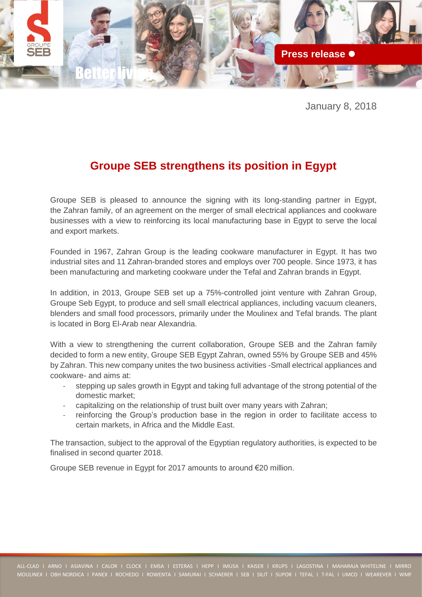

January 8, 2018

## **Groupe SEB strengthens its position in Egypt**

Groupe SEB is pleased to announce the signing with its long-standing partner in Egypt, the Zahran family, of an agreement on the merger of small electrical appliances and cookware businesses with a view to reinforcing its local manufacturing base in Egypt to serve the local and export markets.

Founded in 1967, Zahran Group is the leading cookware manufacturer in Egypt. It has two industrial sites and 11 Zahran-branded stores and employs over 700 people. Since 1973, it has been manufacturing and marketing cookware under the Tefal and Zahran brands in Egypt.

In addition, in 2013, Groupe SEB set up a 75%-controlled joint venture with Zahran Group, Groupe Seb Egypt, to produce and sell small electrical appliances, including vacuum cleaners, blenders and small food processors, primarily under the Moulinex and Tefal brands. The plant is located in Borg El-Arab near Alexandria.

With a view to strengthening the current collaboration, Groupe SEB and the Zahran family decided to form a new entity, Groupe SEB Egypt Zahran, owned 55% by Groupe SEB and 45% by Zahran. This new company unites the two business activities -Small electrical appliances and cookware- and aims at:

- stepping up sales growth in Egypt and taking full advantage of the strong potential of the domestic market;
- capitalizing on the relationship of trust built over many years with Zahran;
- reinforcing the Group's production base in the region in order to facilitate access to certain markets, in Africa and the Middle East.

The transaction, subject to the approval of the Egyptian regulatory authorities, is expected to be finalised in second quarter 2018.

Groupe SEB revenue in Egypt for 2017 amounts to around €20 million.